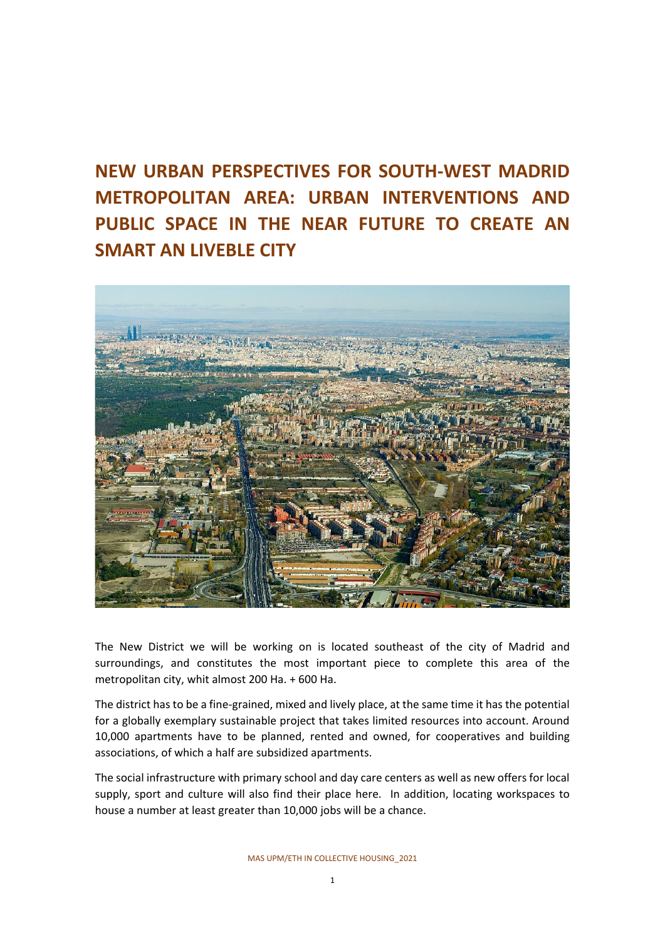# **NEW URBAN PERSPECTIVES FOR SOUTH-WEST MADRID METROPOLITAN AREA: URBAN INTERVENTIONS AND PUBLIC SPACE IN THE NEAR FUTURE TO CREATE AN SMART AN LIVEBLE CITY**



The New District we will be working on is located southeast of the city of Madrid and surroundings, and constitutes the most important piece to complete this area of the metropolitan city, whit almost 200 Ha. + 600 Ha.

The district has to be a fine-grained, mixed and lively place, at the same time it has the potential for a globally exemplary sustainable project that takes limited resources into account. Around 10,000 apartments have to be planned, rented and owned, for cooperatives and building associations, of which a half are subsidized apartments.

The social infrastructure with primary school and day care centers as well as new offers for local supply, sport and culture will also find their place here. In addition, locating workspaces to house a number at least greater than 10,000 jobs will be a chance.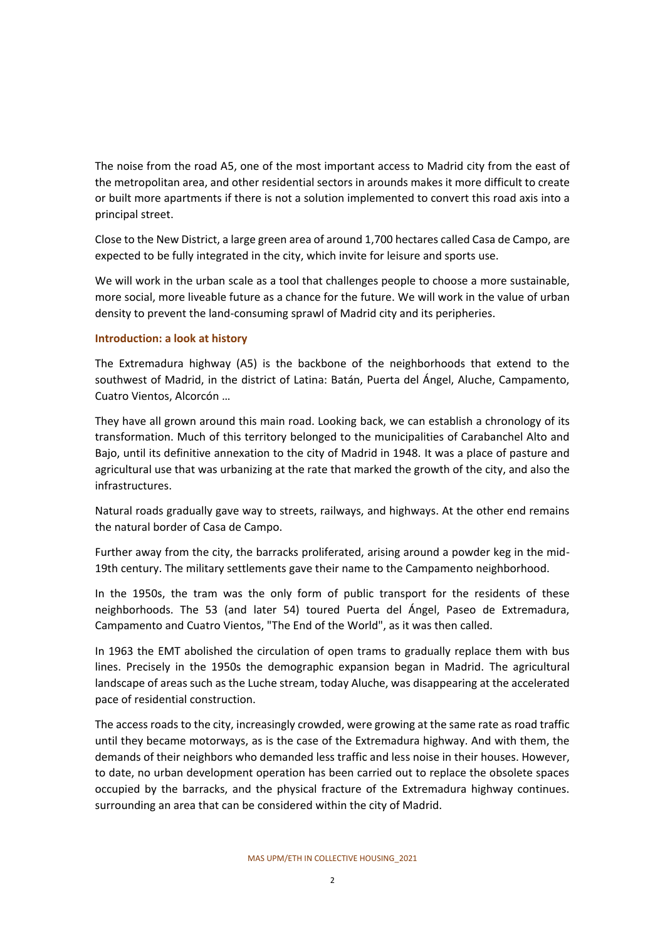The noise from the road A5, one of the most important access to Madrid city from the east of the metropolitan area, and other residential sectors in arounds makes it more difficult to create or built more apartments if there is not a solution implemented to convert this road axis into a principal street.

Close to the New District, a large green area of around 1,700 hectares called Casa de Campo, are expected to be fully integrated in the city, which invite for leisure and sports use.

We will work in the urban scale as a tool that challenges people to choose a more sustainable, more social, more liveable future as a chance for the future. We will work in the value of urban density to prevent the land-consuming sprawl of Madrid city and its peripheries.

#### **Introduction: a look at history**

The Extremadura highway (A5) is the backbone of the neighborhoods that extend to the southwest of Madrid, in the district of Latina: Batán, Puerta del Ángel, Aluche, Campamento, Cuatro Vientos, Alcorcón …

They have all grown around this main road. Looking back, we can establish a chronology of its transformation. Much of this territory belonged to the municipalities of Carabanchel Alto and Bajo, until its definitive annexation to the city of Madrid in 1948. It was a place of pasture and agricultural use that was urbanizing at the rate that marked the growth of the city, and also the infrastructures.

Natural roads gradually gave way to streets, railways, and highways. At the other end remains the natural border of Casa de Campo.

Further away from the city, the barracks proliferated, arising around a powder keg in the mid-19th century. The military settlements gave their name to the Campamento neighborhood.

In the 1950s, the tram was the only form of public transport for the residents of these neighborhoods. The 53 (and later 54) toured Puerta del Ángel, Paseo de Extremadura, Campamento and Cuatro Vientos, "The End of the World", as it was then called.

In 1963 the EMT abolished the circulation of open trams to gradually replace them with bus lines. Precisely in the 1950s the demographic expansion began in Madrid. The agricultural landscape of areas such as the Luche stream, today Aluche, was disappearing at the accelerated pace of residential construction.

The access roads to the city, increasingly crowded, were growing at the same rate as road traffic until they became motorways, as is the case of the Extremadura highway. And with them, the demands of their neighbors who demanded less traffic and less noise in their houses. However, to date, no urban development operation has been carried out to replace the obsolete spaces occupied by the barracks, and the physical fracture of the Extremadura highway continues. surrounding an area that can be considered within the city of Madrid.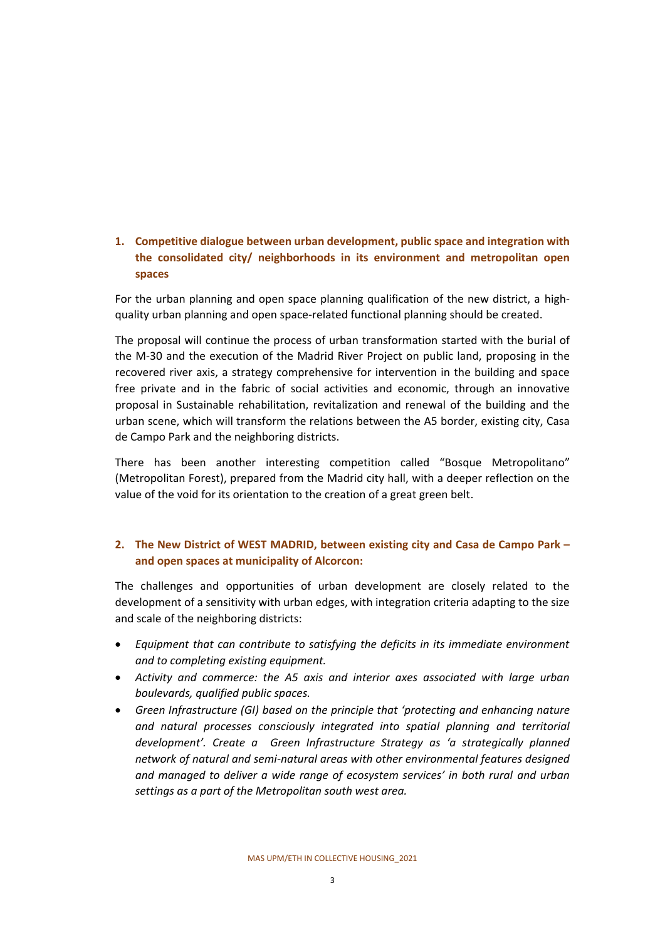# **1. Competitive dialogue between urban development, public space and integration with the consolidated city/ neighborhoods in its environment and metropolitan open spaces**

For the urban planning and open space planning qualification of the new district, a highquality urban planning and open space-related functional planning should be created.

The proposal will continue the process of urban transformation started with the burial of the M-30 and the execution of the Madrid River Project on public land, proposing in the recovered river axis, a strategy comprehensive for intervention in the building and space free private and in the fabric of social activities and economic, through an innovative proposal in Sustainable rehabilitation, revitalization and renewal of the building and the urban scene, which will transform the relations between the A5 border, existing city, Casa de Campo Park and the neighboring districts.

There has been another interesting competition called "Bosque Metropolitano" (Metropolitan Forest), prepared from the Madrid city hall, with a deeper reflection on the value of the void for its orientation to the creation of a great green belt.

# **2. The New District of WEST MADRID, between existing city and Casa de Campo Park – and open spaces at municipality of Alcorcon:**

The challenges and opportunities of urban development are closely related to the development of a sensitivity with urban edges, with integration criteria adapting to the size and scale of the neighboring districts:

- *Equipment that can contribute to satisfying the deficits in its immediate environment and to completing existing equipment.*
- *Activity and commerce: the A5 axis and interior axes associated with large urban boulevards, qualified public spaces.*
- *Green Infrastructure (GI) based on the principle that 'protecting and enhancing nature and natural processes consciously integrated into spatial planning and territorial development'. Create a Green Infrastructure Strategy as 'a strategically planned network of natural and semi-natural areas with other environmental features designed and managed to deliver a wide range of ecosystem services' in both rural and urban settings as a part of the Metropolitan south west area.*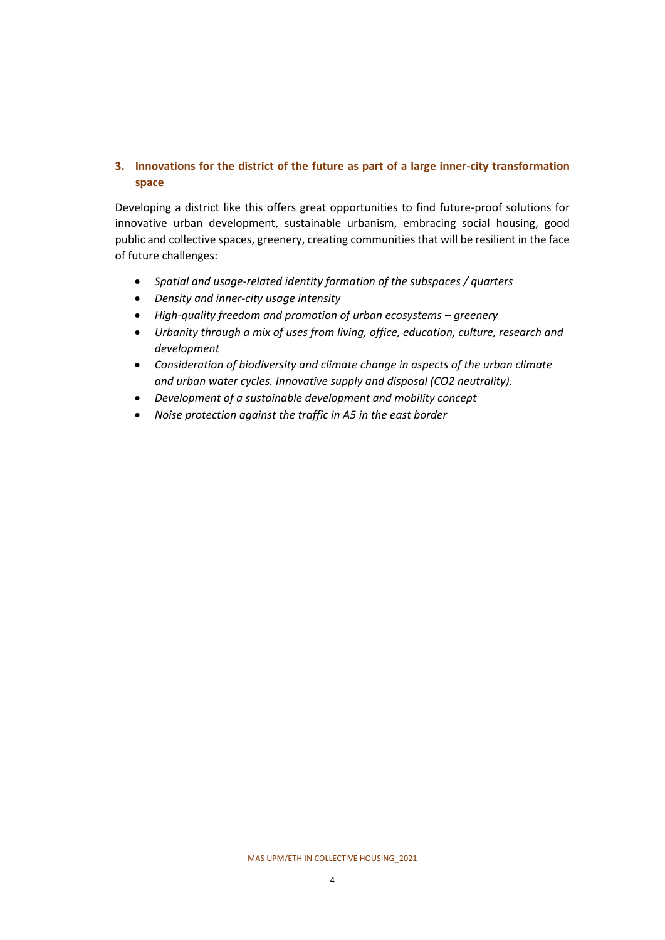# **3. Innovations for the district of the future as part of a large inner-city transformation space**

Developing a district like this offers great opportunities to find future-proof solutions for innovative urban development, sustainable urbanism, embracing social housing, good public and collective spaces, greenery, creating communities that will be resilient in the face of future challenges:

- *Spatial and usage-related identity formation of the subspaces / quarters*
- *Density and inner-city usage intensity*
- *High-quality freedom and promotion of urban ecosystems – greenery*
- *Urbanity through a mix of uses from living, office, education, culture, research and development*
- *Consideration of biodiversity and climate change in aspects of the urban climate and urban water cycles. Innovative supply and disposal (CO2 neutrality).*
- *Development of a sustainable development and mobility concept*
- *Noise protection against the traffic in A5 in the east border*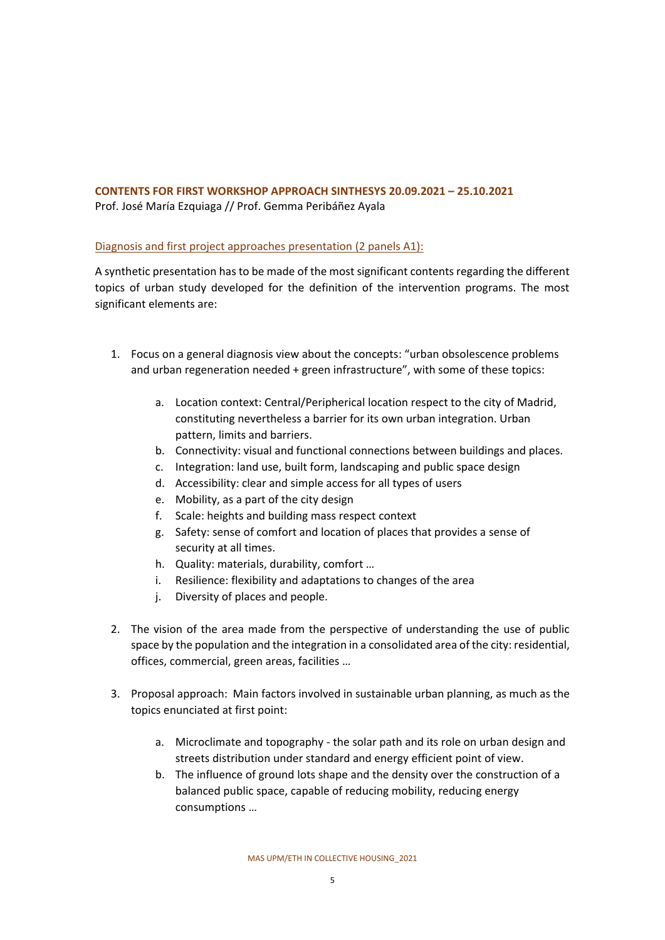# **CONTENTS FOR FIRST WORKSHOP APPROACH SINTHESYS 20.09.2021 – 25.10.2021** Prof. José María Ezquiaga // Prof. Gemma Peribáñez Ayala

## Diagnosis and first project approaches presentation (2 panels A1):

A synthetic presentation has to be made of the most significant contents regarding the different topics of urban study developed for the definition of the intervention programs. The most significant elements are:

- 1. Focus on a general diagnosis view about the concepts: "urban obsolescence problems and urban regeneration needed + green infrastructure", with some of these topics:
	- a. Location context: Central/Peripherical location respect to the city of Madrid, constituting nevertheless a barrier for its own urban integration. Urban pattern, limits and barriers.
	- b. Connectivity: visual and functional connections between buildings and places.
	- c. Integration: land use, built form, landscaping and public space design
	- d. Accessibility: clear and simple access for all types of users
	- e. Mobility, as a part of the city design
	- f. Scale: heights and building mass respect context
	- g. Safety: sense of comfort and location of places that provides a sense of security at all times.
	- h. Quality: materials, durability, comfort …
	- i. Resilience: flexibility and adaptations to changes of the area
	- j. Diversity of places and people.
- 2. The vision of the area made from the perspective of understanding the use of public space by the population and the integration in a consolidated area of the city: residential, offices, commercial, green areas, facilities …
- 3. Proposal approach: Main factors involved in sustainable urban planning, as much as the topics enunciated at first point:
	- a. Microclimate and topography the solar path and its role on urban design and streets distribution under standard and energy efficient point of view.
	- b. The influence of ground lots shape and the density over the construction of a balanced public space, capable of reducing mobility, reducing energy consumptions …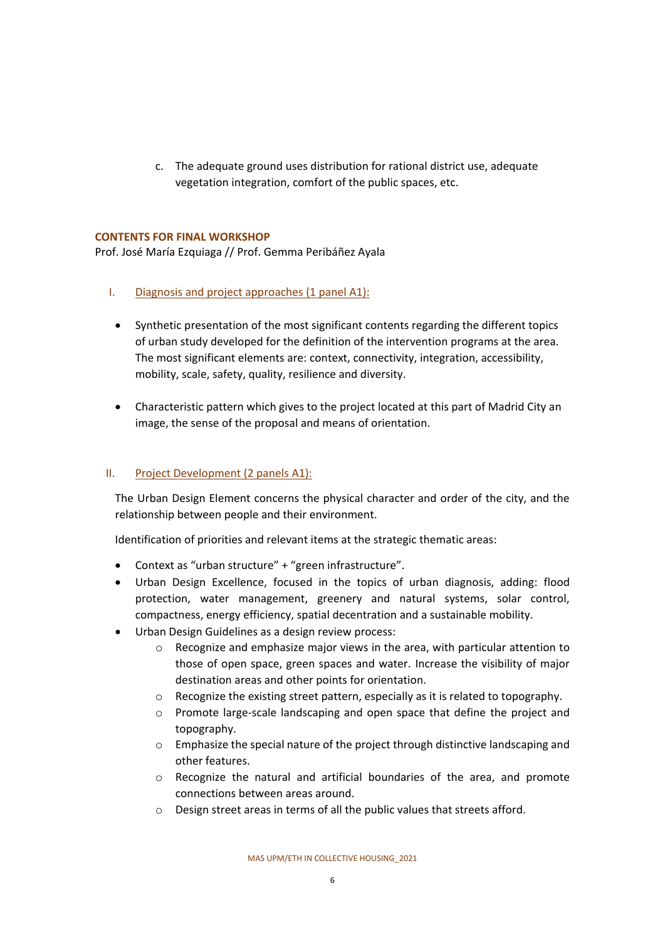c. The adequate ground uses distribution for rational district use, adequate vegetation integration, comfort of the public spaces, etc.

#### **CONTENTS FOR FINAL WORKSHOP**

Prof. José María Ezquiaga // Prof. Gemma Peribáñez Ayala

- I. Diagnosis and project approaches (1 panel A1):
	- Synthetic presentation of the most significant contents regarding the different topics of urban study developed for the definition of the intervention programs at the area. The most significant elements are: context, connectivity, integration, accessibility, mobility, scale, safety, quality, resilience and diversity.
	- Characteristic pattern which gives to the project located at this part of Madrid City an image, the sense of the proposal and means of orientation.

#### II. Project Development (2 panels A1):

The Urban Design Element concerns the physical character and order of the city, and the relationship between people and their environment.

Identification of priorities and relevant items at the strategic thematic areas:

- Context as "urban structure" + "green infrastructure".
- Urban Design Excellence, focused in the topics of urban diagnosis, adding: flood protection, water management, greenery and natural systems, solar control, compactness, energy efficiency, spatial decentration and a sustainable mobility.
- Urban Design Guidelines as a design review process:
	- o Recognize and emphasize major views in the area, with particular attention to those of open space, green spaces and water. Increase the visibility of major destination areas and other points for orientation.
	- o Recognize the existing street pattern, especially as it is related to topography.
	- o Promote large-scale landscaping and open space that define the project and topography.
	- $\circ$  Emphasize the special nature of the project through distinctive landscaping and other features.
	- $\circ$  Recognize the natural and artificial boundaries of the area, and promote connections between areas around.
	- o Design street areas in terms of all the public values that streets afford.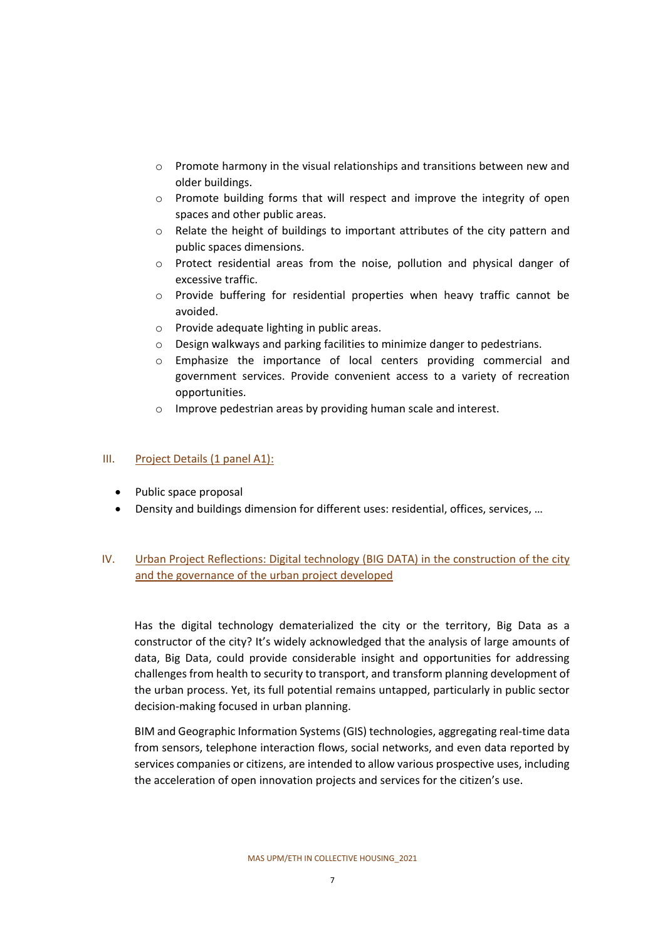- $\circ$  Promote harmony in the visual relationships and transitions between new and older buildings.
- o Promote building forms that will respect and improve the integrity of open spaces and other public areas.
- o Relate the height of buildings to important attributes of the city pattern and public spaces dimensions.
- $\circ$  Protect residential areas from the noise, pollution and physical danger of excessive traffic.
- o Provide buffering for residential properties when heavy traffic cannot be avoided.
- o Provide adequate lighting in public areas.
- o Design walkways and parking facilities to minimize danger to pedestrians.
- o Emphasize the importance of local centers providing commercial and government services. Provide convenient access to a variety of recreation opportunities.
- o Improve pedestrian areas by providing human scale and interest.

#### III. Project Details (1 panel A1):

- Public space proposal
- Density and buildings dimension for different uses: residential, offices, services, …

## IV. Urban Project Reflections: Digital technology (BIG DATA) in the construction of the city and the governance of the urban project developed

Has the digital technology dematerialized the city or the territory, Big Data as a constructor of the city? It's widely acknowledged that the analysis of large amounts of data, Big Data, could provide considerable insight and opportunities for addressing challenges from health to security to transport, and transform planning development of the urban process. Yet, its full potential remains untapped, particularly in public sector decision-making focused in urban planning.

BIM and Geographic Information Systems (GIS) technologies, aggregating real-time data from sensors, telephone interaction flows, social networks, and even data reported by services companies or citizens, are intended to allow various prospective uses, including the acceleration of open innovation projects and services for the citizen's use.